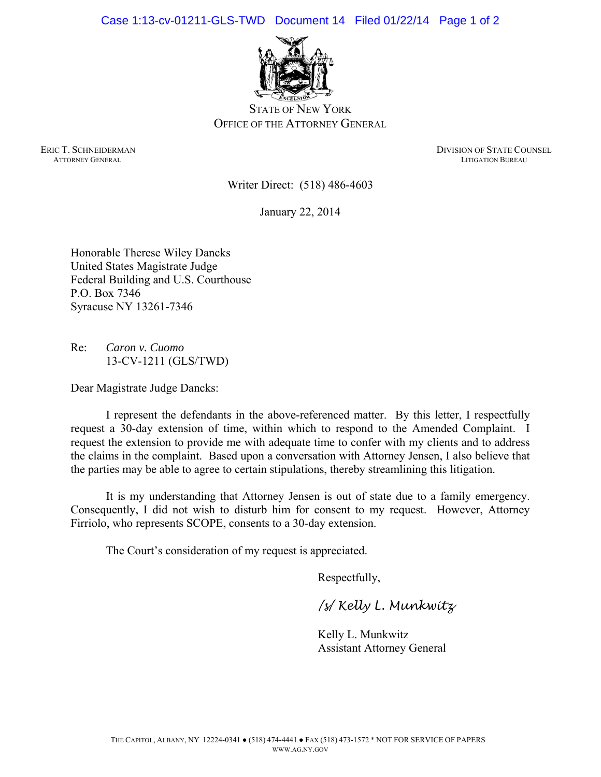Case 1:13-cv-01211-GLS-TWD Document 14 Filed 01/22/14 Page 1 of 2



STATE OF NEW YORK OFFICE OF THE ATTORNEY GENERAL

ERIC T. SCHNEIDERMAN DIVISION OF STATE COUNSEL **ATTORNEY GENERAL LITIGATION BUREAU** 

Writer Direct: (518) 486-4603

January 22, 2014

Honorable Therese Wiley Dancks United States Magistrate Judge Federal Building and U.S. Courthouse P.O. Box 7346 Syracuse NY 13261-7346

Re: *Caron v. Cuomo*  13-CV-1211 (GLS/TWD)

Dear Magistrate Judge Dancks:

I represent the defendants in the above-referenced matter. By this letter, I respectfully request a 30-day extension of time, within which to respond to the Amended Complaint. I request the extension to provide me with adequate time to confer with my clients and to address the claims in the complaint. Based upon a conversation with Attorney Jensen, I also believe that the parties may be able to agree to certain stipulations, thereby streamlining this litigation.

It is my understanding that Attorney Jensen is out of state due to a family emergency. Consequently, I did not wish to disturb him for consent to my request. However, Attorney Firriolo, who represents SCOPE, consents to a 30-day extension.

The Court's consideration of my request is appreciated.

Respectfully,

*/s/ Kelly L. Munkwitz* 

Kelly L. Munkwitz Assistant Attorney General